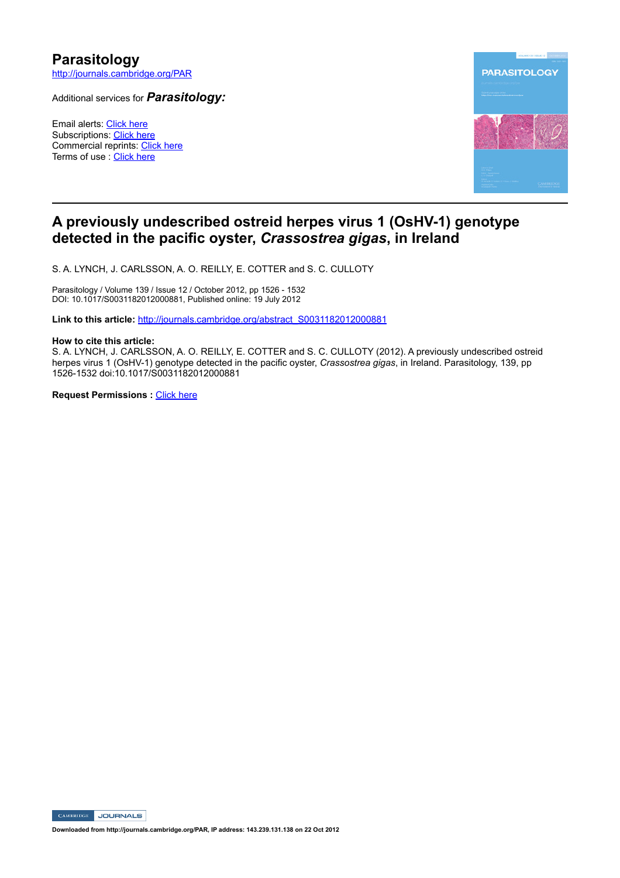# **Parasitology**

http://journals.cambridge.org/PAR

Additional services for *Parasitology:*

Email alerts: Click here Subscriptions: Click here Commercial reprints: Click here Terms of use : Click here



# **A previously undescribed ostreid herpes virus 1 (OsHV1) genotype detected in the pacific oyster,** *Crassostrea gigas***, in Ireland**

S. A. LYNCH, J. CARLSSON, A. O. REILLY, E. COTTER and S. C. CULLOTY

Parasitology / Volume 139 / Issue 12 / October 2012, pp 1526 - 1532 DOI: 10.1017/S0031182012000881, Published online: 19 July 2012

Link to this article: http://journals.cambridge.org/abstract\_S0031182012000881

# **How to cite this article:**

S. A. LYNCH, J. CARLSSON, A. O. REILLY, E. COTTER and S. C. CULLOTY (2012). A previously undescribed ostreid herpes virus 1 (OsHV-1) genotype detected in the pacific oyster, *Crassostrea gigas*, in Ireland. Parasitology, 139, pp 15261532 doi:10.1017/S0031182012000881

**Request Permissions :** Click here

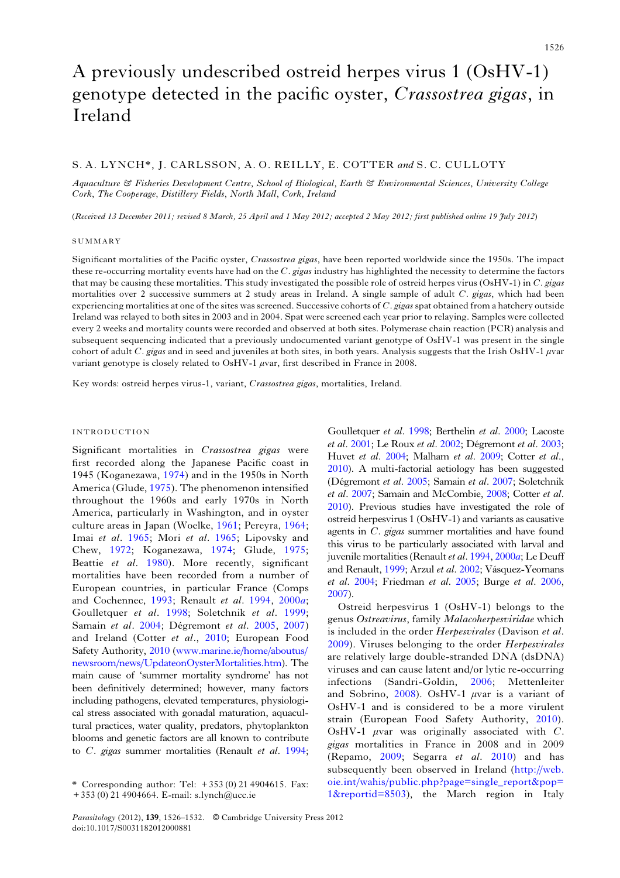# A previously undescribed ostreid herpes virus 1 (OsHV-1) genotype detected in the pacific oyster, Crassostrea gigas, in Ireland

# S. A. LYNCH\*, J. CARLSSON, A. O. REILLY, E. COTTER and S. C. CULLOTY

Aquaculture & Fisheries Development Centre, School of Biological, Earth & Environmental Sciences, University College Cork, The Cooperage, Distillery Fields, North Mall, Cork, Ireland

(Received 13 December 2011; revised 8 March, 25 April and 1 May 2012; accepted 2 May 2012; first published online 19 July 2012)

#### SUMMARY

Significant mortalities of the Pacific oyster, Crassostrea gigas, have been reported worldwide since the 1950s. The impact these re-occurring mortality events have had on the  $C$ . gigas industry has highlighted the necessity to determine the factors that may be causing these mortalities. This study investigated the possible role of ostreid herpes virus (OsHV-1) in  $C$ . gigas mortalities over 2 successive summers at 2 study areas in Ireland. A single sample of adult C. gigas, which had been experiencing mortalities at one of the sites was screened. Successive cohorts of  $C$ , gigas spat obtained from a hatchery outside Ireland was relayed to both sites in 2003 and in 2004. Spat were screened each year prior to relaying. Samples were collected every 2 weeks and mortality counts were recorded and observed at both sites. Polymerase chain reaction (PCR) analysis and subsequent sequencing indicated that a previously undocumented variant genotype of OsHV-1 was present in the single cohort of adult C. gigas and in seed and juveniles at both sites, in both years. Analysis suggests that the Irish OsHV-1  $\mu$ var variant genotype is closely related to OsHV-1 μvar, first described in France in 2008.

Key words: ostreid herpes virus-1, variant, Crassostrea gigas, mortalities, Ireland.

#### INTRODUCTION

Significant mortalities in Crassostrea gigas were first recorded along the Japanese Pacific coast in 1945 (Koganezawa, 1974) and in the 1950s in North America (Glude, 1975). The phenomenon intensified throughout the 1960s and early 1970s in North America, particularly in Washington, and in oyster culture areas in Japan (Woelke, 1961; Pereyra, 1964; Imai et al. 1965; Mori et al. 1965; Lipovsky and Chew, 1972; Koganezawa, 1974; Glude, 1975; Beattie et al. 1980). More recently, significant mortalities have been recorded from a number of European countries, in particular France (Comps and Cochennec, 1993; Renault et al. 1994, 2000a; Goulletquer et al. 1998; Soletchnik et al. 1999; Samain et al. 2004; Dégremont et al. 2005, 2007) and Ireland (Cotter et al., 2010; European Food Safety Authority, 2010 [\(www.marine.ie/home/aboutus/](http://www.marine.ie/home/aboutus/newsroom/news/UpdateonOysterMortalities.htm) [newsroom/news/UpdateonOysterMortalities.htm](http://www.marine.ie/home/aboutus/newsroom/news/UpdateonOysterMortalities.htm)). The main cause of 'summer mortality syndrome' has not been definitively determined; however, many factors including pathogens, elevated temperatures, physiological stress associated with gonadal maturation, aquacultural practices, water quality, predators, phytoplankton blooms and genetic factors are all known to contribute to C. gigas summer mortalities (Renault et al. 1994;

Goulletquer et al. 1998; Berthelin et al. 2000; Lacoste et al. 2001; Le Roux et al. 2002; Dégremont et al. 2003; Huvet et al. 2004; Malham et al. 2009; Cotter et al., 2010). A multi-factorial aetiology has been suggested (Dégremont et al. 2005; Samain et al. 2007; Soletchnik et al. 2007; Samain and McCombie, 2008; Cotter et al. 2010). Previous studies have investigated the role of ostreid herpesvirus 1 (OsHV-1) and variants as causative agents in C. gigas summer mortalities and have found this virus to be particularly associated with larval and juvenile mortalities (Renault et al.  $1994$ ,  $2000a$ ; Le Deuff and Renault, 1999; Arzul et al. 2002; Vásquez-Yeomans et al. 2004; Friedman et al. 2005; Burge et al. 2006, 2007).

Ostreid herpesvirus 1 (OsHV-1) belongs to the genus Ostreavirus, family Malacoherpesviridae which is included in the order Herpesvirales (Davison et al. 2009). Viruses belonging to the order Herpesvirales are relatively large double-stranded DNA (dsDNA) viruses and can cause latent and/or lytic re-occurring infections (Sandri-Goldin, 2006; Mettenleiter and Sobrino, 2008). OsHV-1 μvar is a variant of OsHV-1 and is considered to be a more virulent strain (European Food Safety Authority, 2010). OsHV-1  $\mu$ var was originally associated with C. gigas mortalities in France in 2008 and in 2009 (Repamo, 2009; Segarra et al. 2010) and has subsequently been observed in Ireland ([http://web.](http://web.oie.int/wahis/public.php?page=single_report&pop=1&reportid=8503) [oie.int/wahis/public.php?page=single\\_report&pop=](http://web.oie.int/wahis/public.php?page=single_report&pop=1&reportid=8503) [1&reportid=8503\)](http://web.oie.int/wahis/public.php?page=single_report&pop=1&reportid=8503), the March region in Italy

<sup>\*</sup> Corresponding author: Tel:  $+353(0)$  21 4904615. Fax: + 353 (0) 21 4904664. E-mail: s.lynch@ucc.ie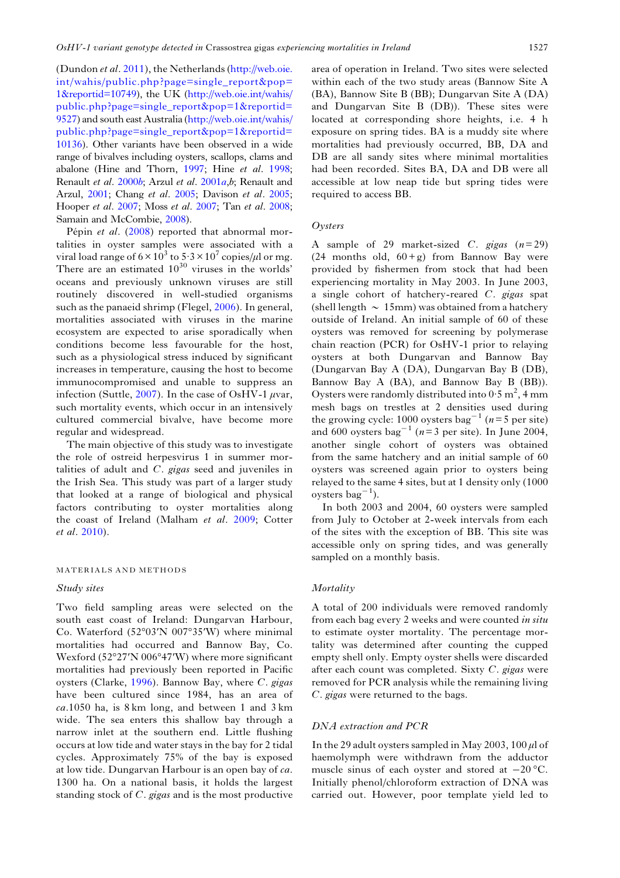(Dundon et al. 2011), the Netherlands [\(http://web.oie.](http://web.oie.int/wahis/public.php?page=single_report&pop=1&reportid=10749) [int/wahis/public.php?page=single\\_report&pop=](http://web.oie.int/wahis/public.php?page=single_report&pop=1&reportid=10749) [1&reportid=10749\)](http://web.oie.int/wahis/public.php?page=single_report&pop=1&reportid=10749), the UK [\(http://web.oie.int/wahis/](http://web.oie.int/wahis/public.php?page=single_report&pop=1&reportid=9527) [public.php?page=single\\_report&pop=1&reportid=](http://web.oie.int/wahis/public.php?page=single_report&pop=1&reportid=9527) [9527\)](http://web.oie.int/wahis/public.php?page=single_report&pop=1&reportid=9527) and south east Australia [\(http://web.oie.int/wahis/](http://web.oie.int/wahis/public.php?page=single_report&pop=1&reportid=10136) [public.php?page=single\\_report&pop=1&reportid=](http://web.oie.int/wahis/public.php?page=single_report&pop=1&reportid=10136) [10136\)](http://web.oie.int/wahis/public.php?page=single_report&pop=1&reportid=10136). Other variants have been observed in a wide range of bivalves including oysters, scallops, clams and abalone (Hine and Thorn, 1997; Hine et al. 1998; Renault et al. 2000b; Arzul et al. 2001a,b; Renault and Arzul, 2001; Chang et al. 2005; Davison et al. 2005; Hooper et al. 2007; Moss et al. 2007; Tan et al. 2008; Samain and McCombie, 2008).

Pépin et al. (2008) reported that abnormal mortalities in oyster samples were associated with a viral load range of  $6 \times 10^3$  to  $5.3 \times 10^7$  copies/ $\mu$ l or mg. There are an estimated  $10^{30}$  viruses in the worlds' oceans and previously unknown viruses are still routinely discovered in well-studied organisms such as the panaeid shrimp (Flegel, 2006). In general, mortalities associated with viruses in the marine ecosystem are expected to arise sporadically when conditions become less favourable for the host, such as a physiological stress induced by significant increases in temperature, causing the host to become immunocompromised and unable to suppress an infection (Suttle,  $2007$ ). In the case of OsHV-1 *μvar*, such mortality events, which occur in an intensively cultured commercial bivalve, have become more regular and widespread.

The main objective of this study was to investigate the role of ostreid herpesvirus 1 in summer mortalities of adult and C. gigas seed and juveniles in the Irish Sea. This study was part of a larger study that looked at a range of biological and physical factors contributing to oyster mortalities along the coast of Ireland (Malham et al. 2009; Cotter et al. 2010).

#### MATERIALS AND METHODS

## Study sites

Two field sampling areas were selected on the south east coast of Ireland: Dungarvan Harbour, Co. Waterford (52°03′N 007°35′W) where minimal mortalities had occurred and Bannow Bay, Co. Wexford (52°27′N 006°47′W) where more significant mortalities had previously been reported in Pacific oysters (Clarke, 1996). Bannow Bay, where C. gigas have been cultured since 1984, has an area of  $ca.1050$  ha, is  $8 \text{ km}$  long, and between 1 and  $3 \text{ km}$ wide. The sea enters this shallow bay through a narrow inlet at the southern end. Little flushing occurs at low tide and water stays in the bay for 2 tidal cycles. Approximately 75% of the bay is exposed at low tide. Dungarvan Harbour is an open bay of ca. 1300 ha. On a national basis, it holds the largest standing stock of C. gigas and is the most productive area of operation in Ireland. Two sites were selected within each of the two study areas (Bannow Site A (BA), Bannow Site B (BB); Dungarvan Site A (DA) and Dungarvan Site B (DB)). These sites were located at corresponding shore heights, i.e. 4 h exposure on spring tides. BA is a muddy site where mortalities had previously occurred, BB, DA and DB are all sandy sites where minimal mortalities had been recorded. Sites BA, DA and DB were all accessible at low neap tide but spring tides were required to access BB.

# **Oysters**

A sample of 29 market-sized C. gigas  $(n=29)$ (24 months old,  $60+g$ ) from Bannow Bay were provided by fishermen from stock that had been experiencing mortality in May 2003. In June 2003, a single cohort of hatchery-reared C. gigas spat (shell length  $\sim 15$ mm) was obtained from a hatchery outside of Ireland. An initial sample of 60 of these oysters was removed for screening by polymerase chain reaction (PCR) for OsHV-1 prior to relaying oysters at both Dungarvan and Bannow Bay (Dungarvan Bay A (DA), Dungarvan Bay B (DB), Bannow Bay A (BA), and Bannow Bay B (BB)). Oysters were randomly distributed into  $0.5 \text{ m}^2$ , 4 mm mesh bags on trestles at 2 densities used during the growing cycle: 1000 oysters bag<sup>-1</sup> ( $n=5$  per site) and 600 oysters bag<sup>-1</sup> ( $n=3$  per site). In June 2004, another single cohort of oysters was obtained from the same hatchery and an initial sample of 60 oysters was screened again prior to oysters being relayed to the same 4 sites, but at 1 density only (1000 oysters  $bag^{-1}$ ).

In both 2003 and 2004, 60 oysters were sampled from July to October at 2-week intervals from each of the sites with the exception of BB. This site was accessible only on spring tides, and was generally sampled on a monthly basis.

# **Mortality**

A total of 200 individuals were removed randomly from each bag every 2 weeks and were counted in situ to estimate oyster mortality. The percentage mortality was determined after counting the cupped empty shell only. Empty oyster shells were discarded after each count was completed. Sixty C. gigas were removed for PCR analysis while the remaining living C. gigas were returned to the bags.

# DNA extraction and PCR

In the 29 adult oysters sampled in May 2003, 100  $\mu$ l of haemolymph were withdrawn from the adductor muscle sinus of each oyster and stored at −20 °C. Initially phenol/chloroform extraction of DNA was carried out. However, poor template yield led to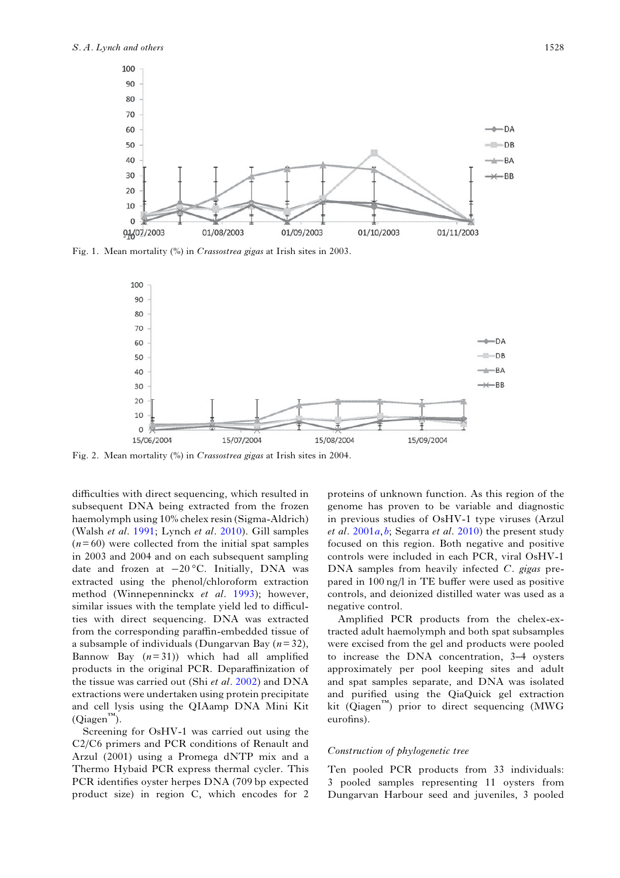

Fig. 1. Mean mortality (%) in Crassostrea gigas at Irish sites in 2003.



Fig. 2. Mean mortality (%) in Crassostrea gigas at Irish sites in 2004.

difficulties with direct sequencing, which resulted in subsequent DNA being extracted from the frozen haemolymph using 10% chelex resin (Sigma-Aldrich) (Walsh et al. 1991; Lynch et al. 2010). Gill samples  $(n=60)$  were collected from the initial spat samples in 2003 and 2004 and on each subsequent sampling date and frozen at −20 °C. Initially, DNA was extracted using the phenol/chloroform extraction method (Winnepenninckx et al. 1993); however, similar issues with the template yield led to difficulties with direct sequencing. DNA was extracted from the corresponding paraffin-embedded tissue of a subsample of individuals (Dungarvan Bay  $(n=32)$ , Bannow Bay  $(n=31)$ ) which had all amplified products in the original PCR. Deparaffinization of the tissue was carried out (Shi et al. 2002) and DNA extractions were undertaken using protein precipitate and cell lysis using the QIAamp DNA Mini Kit  $(Qiagen^{\tau M})$ .

Screening for OsHV-1 was carried out using the C2/C6 primers and PCR conditions of Renault and Arzul (2001) using a Promega dNTP mix and a Thermo Hybaid PCR express thermal cycler. This PCR identifies oyster herpes DNA (709 bp expected product size) in region C, which encodes for 2

proteins of unknown function. As this region of the genome has proven to be variable and diagnostic in previous studies of OsHV-1 type viruses (Arzul et al.  $2001a, b$ ; Segarra et al.  $2010$ ) the present study focused on this region. Both negative and positive controls were included in each PCR, viral OsHV-1 DNA samples from heavily infected C. gigas prepared in 100 ng/l in TE buffer were used as positive controls, and deionized distilled water was used as a negative control.

Amplified PCR products from the chelex-extracted adult haemolymph and both spat subsamples were excised from the gel and products were pooled to increase the DNA concentration, 3–4 oysters approximately per pool keeping sites and adult and spat samples separate, and DNA was isolated and purified using the QiaQuick gel extraction kit (Qiagen™) prior to direct sequencing (MWG eurofins).

#### Construction of phylogenetic tree

Ten pooled PCR products from 33 individuals: 3 pooled samples representing 11 oysters from Dungarvan Harbour seed and juveniles, 3 pooled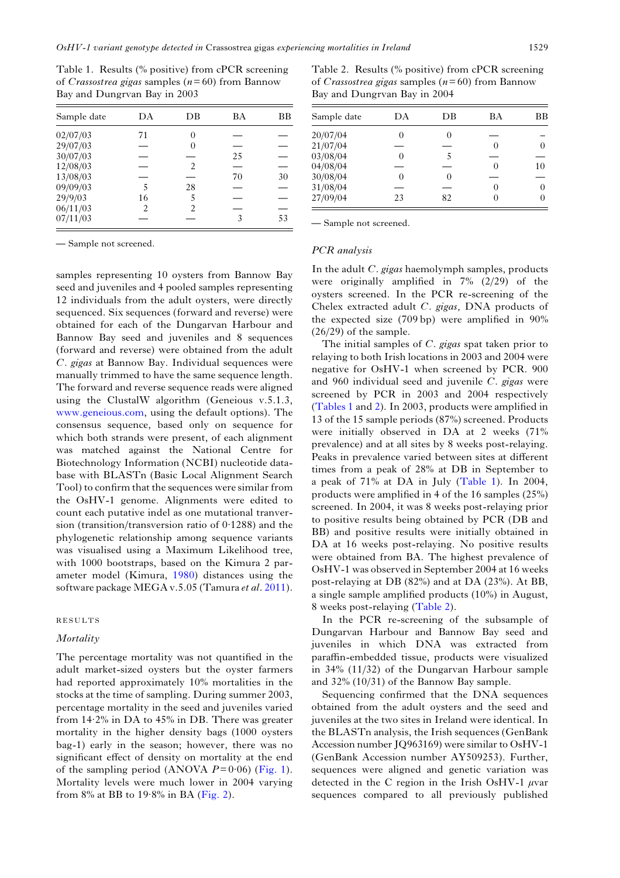Table 1. Results (% positive) from cPCR screening of Crassostrea gigas samples ( $n=60$ ) from Bannow Bay and Dungrvan Bay in 2003

| Sample date | DА             | DВ            | ВA | ВB |
|-------------|----------------|---------------|----|----|
| 02/07/03    | 71             | 0             |    |    |
| 29/07/03    |                | 0             |    |    |
| 30/07/03    |                |               | 25 |    |
| 12/08/03    |                | $\mathcal{L}$ |    |    |
| 13/08/03    |                |               | 70 | 30 |
| 09/09/03    | 5              | 28            |    |    |
| 29/9/03     | 16             | 5             |    |    |
| 06/11/03    | $\mathfrak{D}$ | 2             |    |    |
| 07/11/03    |                |               |    | 53 |

— Sample not screened.

samples representing 10 oysters from Bannow Bay seed and juveniles and 4 pooled samples representing 12 individuals from the adult oysters, were directly sequenced. Six sequences (forward and reverse) were obtained for each of the Dungarvan Harbour and Bannow Bay seed and juveniles and 8 sequences (forward and reverse) were obtained from the adult C. gigas at Bannow Bay. Individual sequences were manually trimmed to have the same sequence length. The forward and reverse sequence reads were aligned using the ClustalW algorithm (Geneious v.5.1.3, [www.geneious.com](http://www.geneious.com), using the default options). The consensus sequence, based only on sequence for which both strands were present, of each alignment was matched against the National Centre for Biotechnology Information (NCBI) nucleotide database with BLASTn (Basic Local Alignment Search Tool) to confirm that the sequences were similar from the OsHV-1 genome. Alignments were edited to count each putative indel as one mutational tranversion (transition/transversion ratio of 0·1288) and the phylogenetic relationship among sequence variants was visualised using a Maximum Likelihood tree, with 1000 bootstraps, based on the Kimura 2 parameter model (Kimura, 1980) distances using the software package MEGA v.5.05 (Tamura et al. 2011).

## RESULTS

# **Mortality**

The percentage mortality was not quantified in the adult market-sized oysters but the oyster farmers had reported approximately 10% mortalities in the stocks at the time of sampling. During summer 2003, percentage mortality in the seed and juveniles varied from 14·2% in DA to 45% in DB. There was greater mortality in the higher density bags (1000 oysters bag-1) early in the season; however, there was no significant effect of density on mortality at the end of the sampling period (ANOVA  $P=0.06$ ) (Fig. 1). Mortality levels were much lower in 2004 varying from  $8\%$  at BB to  $19.8\%$  in BA (Fig. 2).

Table 2. Results (% positive) from cPCR screening of Crassostrea gigas samples ( $n=60$ ) from Bannow Bay and Dungrvan Bay in 2004

| Sample date | DА | DВ | ВA                | ВB |
|-------------|----|----|-------------------|----|
| 20/07/04    | 0  |    |                   |    |
| 21/07/04    |    |    | $\left( \right)$  |    |
| 03/08/04    | 0  |    |                   |    |
| 04/08/04    |    |    | $\mathbf{\Omega}$ | 10 |
| 30/08/04    | 0  |    |                   |    |
| 31/08/04    |    |    | $\mathbf{\Omega}$ |    |
| 27/09/04    | 23 | 82 | $\left( \right)$  |    |

— Sample not screened.

#### PCR analysis

In the adult C. gigas haemolymph samples, products were originally amplified in 7% (2/29) of the oysters screened. In the PCR re-screening of the Chelex extracted adult C. gigas, DNA products of the expected size (709 bp) were amplified in 90% (26/29) of the sample.

The initial samples of C. gigas spat taken prior to relaying to both Irish locations in 2003 and 2004 were negative for OsHV-1 when screened by PCR. 900 and 960 individual seed and juvenile  $C$ . gigas were screened by PCR in 2003 and 2004 respectively (Tables 1 and 2). In 2003, products were amplified in 13 of the 15 sample periods (87%) screened. Products were initially observed in DA at 2 weeks (71% prevalence) and at all sites by 8 weeks post-relaying. Peaks in prevalence varied between sites at different times from a peak of 28% at DB in September to a peak of 71% at DA in July (Table 1). In 2004, products were amplified in 4 of the 16 samples (25%) screened. In 2004, it was 8 weeks post-relaying prior to positive results being obtained by PCR (DB and BB) and positive results were initially obtained in DA at 16 weeks post-relaying. No positive results were obtained from BA. The highest prevalence of OsHV-1 was observed in September 2004 at 16 weeks post-relaying at DB (82%) and at DA (23%). At BB, a single sample amplified products (10%) in August, 8 weeks post-relaying (Table 2).

In the PCR re-screening of the subsample of Dungarvan Harbour and Bannow Bay seed and juveniles in which DNA was extracted from paraffin-embedded tissue, products were visualized in 34% (11/32) of the Dungarvan Harbour sample and 32% (10/31) of the Bannow Bay sample.

Sequencing confirmed that the DNA sequences obtained from the adult oysters and the seed and juveniles at the two sites in Ireland were identical. In the BLASTn analysis, the Irish sequences (GenBank Accession number JQ963169) were similar to OsHV-1 (GenBank Accession number AY509253). Further, sequences were aligned and genetic variation was detected in the C region in the Irish OsHV-1  $\mu$ var sequences compared to all previously published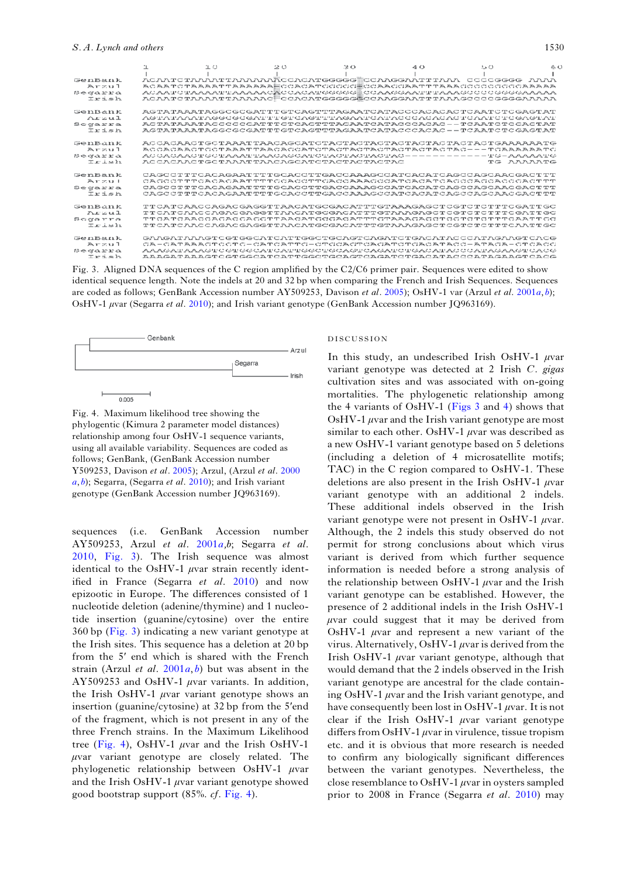#### S. A. Lynch and others 1530

|                        | 工口                                                                 | 20 | 30. | 40 | $\rightarrow$ $\circ$ | 60 |
|------------------------|--------------------------------------------------------------------|----|-----|----|-----------------------|----|
|                        |                                                                    |    |     |    |                       |    |
| GenBank                | ACAATCTAAAATTAAAAAÄCCACATGGGGG CCAAGGAATTTAAA CCCCGGGG AAAA        |    |     |    |                       |    |
| $A$ rzul               | ACAATCTAAAATTAAAAAAWCCACATCCCCC端CCAACCAATTTAAACCCCCCCCCAAAAA       |    |     |    |                       |    |
| Segarra                | ACAATCTAAAATTAAAAACWCCACATGGGGGECAAGGAATTTAAAGGCCCGGGGAAAAA        |    |     |    |                       |    |
| Irish                  | ACAATCTAAAATTAAAAAC CCACATGGGGG GCCAAGGAATTTAAAGCCCCGGGGAAAAA      |    |     |    |                       |    |
| GenBank                | AGTATAAATAGGCGCGATTTGTCAGTTTAGAATCATACCCACACACTCAATCTCGAGTAT       |    |     |    |                       |    |
| $\Lambda x \times u$ 1 |                                                                    |    |     |    |                       |    |
| Segarra                | ACTATAAATACCCCCCATTTCTCACTTTACAATCATACCCACAC --TCAATCTCCACTAT      |    |     |    |                       |    |
| Irish                  | AGTATAAATAGGCGCGATTTGTCAGTTTAGAATCATACCCACAC---TCAATCTCGAGTAT      |    |     |    |                       |    |
| GenBank                | ACCACAACTGCTAAATTAACAGCATCTACTACTACTACTACTACTACTACTGAAAAAATG       |    |     |    |                       |    |
| $A$ rzul               |                                                                    |    |     |    |                       |    |
| Segarra                |                                                                    |    |     |    |                       |    |
| $T_T \perp \approx 11$ | ACCACAACTGCTAAATTAACAGCATCTACTACTACTAC                             |    |     |    | TG AAAAATG            |    |
| GenBank                |                                                                    |    |     |    |                       |    |
| $A r = 11$             | CACCOPPPCACACA DA PPPPCCACOPPCACO A ACCO APOACAPCACCACO ACCACCACO  |    |     |    |                       |    |
| Segarra                |                                                                    |    |     |    |                       |    |
| Irish                  |                                                                    |    |     |    |                       |    |
| GenBank                | TTCATCAACCAGACGAGGTTAACATGCGACATTTGTAAAGAGCTCGTCTCTTTCGATTGC       |    |     |    |                       |    |
| $\n  n$                | TTCATCAACCAGACGAGGTTAACATGCGACATTTGTAAAGAGCTCGTCTTTTTCGATTGC       |    |     |    |                       |    |
| Scgarra                | TTCATCAACCAGACCAGCTTAACATGCGACATTTGTAAAGAGCTCCTCTCTTTCAATTGC       |    |     |    |                       |    |
| T r i s h              | TTCATCAACCAGACGAGGTTAACATGCGACATTTGTAAAGAGCTCGTCTCTTTCAATTGC       |    |     |    |                       |    |
| GenBank                | GAAGATAAAGTCGTGGCATCATTGGCTGCAGTCAGATCTGACATACCCATAGAAGTCACG       |    |     |    |                       |    |
| $A$ rzul               | CA-CAPAAACPCCPC-CAPCAPPC-CPCCACPCACAPCPCACAPACC-APACA-CPCACC       |    |     |    |                       |    |
| Segarra                | AAAGATAAAGTOGTGGCATATOATTGGCTGCTGCAGTOAGATOTGACATATACOOATAGAAGTOAC |    |     |    |                       |    |
| Irish                  | AAAGATAAAGTCGTGGCATCATTGGCTGCAGTCAGATCTGACATACCCATAGAAGTCACG       |    |     |    |                       |    |

Fig. 3. Aligned DNA sequences of the C region amplified by the C2/C6 primer pair. Sequences were edited to show identical sequence length. Note the indels at 20 and 32 bp when comparing the French and Irish Sequences. Sequences are coded as follows; GenBank Accession number AY509253, Davison et al. 2005); OsHV-1 var (Arzul et al. 2001a, b); OsHV-1 μvar (Segarra et al. 2010); and Irish variant genotype (GenBank Accession number JQ963169).



Fig. 4. Maximum likelihood tree showing the phylogentic (Kimura 2 parameter model distances) relationship among four OsHV-1 sequence variants, using all available variability. Sequences are coded as follows; GenBank, (GenBank Accession number Y509253, Davison et al. 2005); Arzul, (Arzul et al. 2000  $(a, b)$ ; Segarra, (Segarra et al. 2010); and Irish variant genotype (GenBank Accession number JQ963169).

sequences (i.e. GenBank Accession number AY509253, Arzul et al. 2001a,b; Segarra et al. 2010, Fig. 3). The Irish sequence was almost identical to the OsHV-1  $\mu$ var strain recently identified in France (Segarra et al. 2010) and now epizootic in Europe. The differences consisted of 1 nucleotide deletion (adenine/thymine) and 1 nucleotide insertion (guanine/cytosine) over the entire 360 bp (Fig. 3) indicating a new variant genotype at the Irish sites. This sequence has a deletion at 20 bp from the 5′ end which is shared with the French strain (Arzul *et al.* 2001*a, b*) but was absent in the AY509253 and OsHV-1 μvar variants. In addition, the Irish OsHV-1  $\mu$ var variant genotype shows an insertion (guanine/cytosine) at 32 bp from the 5′end of the fragment, which is not present in any of the three French strains. In the Maximum Likelihood tree (Fig. 4), OsHV-1  $\mu$ var and the Irish OsHV-1 μvar variant genotype are closely related. The phylogenetic relationship between OsHV-1 μvar and the Irish OsHV-1  $\mu$ var variant genotype showed good bootstrap support (85%. cf. Fig. 4).

#### DISCUSSION

In this study, an undescribed Irish OsHV-1  $\mu$ var variant genotype was detected at 2 Irish C. gigas cultivation sites and was associated with on-going mortalities. The phylogenetic relationship among the 4 variants of OsHV-1 (Figs 3 and 4) shows that OsHV-1  $\mu$ var and the Irish variant genotype are most similar to each other. OsHV-1  $\mu$ var was described as a new OsHV-1 variant genotype based on 5 deletions (including a deletion of 4 microsatellite motifs; TAC) in the C region compared to OsHV-1. These deletions are also present in the Irish OsHV-1  $\mu$ var variant genotype with an additional 2 indels. These additional indels observed in the Irish variant genotype were not present in OsHV-1  $\mu$ var. Although, the 2 indels this study observed do not permit for strong conclusions about which virus variant is derived from which further sequence information is needed before a strong analysis of the relationship between OsHV-1  $\mu$ var and the Irish variant genotype can be established. However, the presence of 2 additional indels in the Irish OsHV-1  $\mu$ var could suggest that it may be derived from OsHV-1  $\mu$ var and represent a new variant of the virus. Alternatively, OsHV-1  $\mu$ var is derived from the Irish OsHV-1  $\mu$ var variant genotype, although that would demand that the 2 indels observed in the Irish variant genotype are ancestral for the clade containing OsHV-1  $\mu$ var and the Irish variant genotype, and have consequently been lost in OsHV-1  $\mu$ var. It is not clear if the Irish OsHV-1  $\mu$ var variant genotype differs from OsHV-1  $\mu$ var in virulence, tissue tropism etc. and it is obvious that more research is needed to confirm any biologically significant differences between the variant genotypes. Nevertheless, the close resemblance to OsHV-1  $\mu$ var in oysters sampled prior to 2008 in France (Segarra et al. 2010) may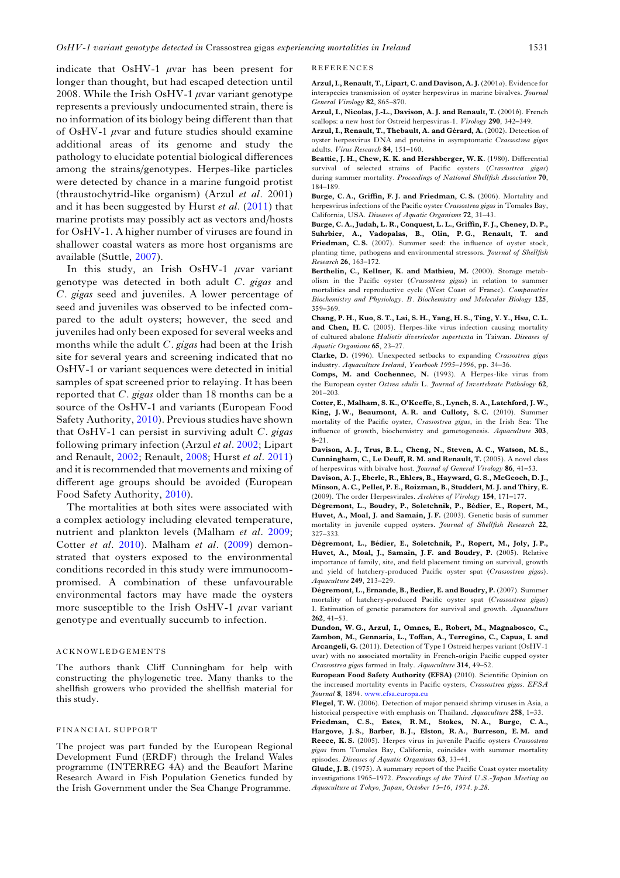indicate that OsHV-1  $\mu$ var has been present for longer than thought, but had escaped detection until 2008. While the Irish OsHV-1  $\mu$ var variant genotype represents a previously undocumented strain, there is no information of its biology being different than that of OsHV-1  $\mu$ var and future studies should examine additional areas of its genome and study the pathology to elucidate potential biological differences among the strains/genotypes. Herpes-like particles were detected by chance in a marine fungoid protist (thraustochytrid-like organism) (Arzul et al. 2001) and it has been suggested by Hurst *et al.* (2011) that marine protists may possibly act as vectors and/hosts for OsHV-1. A higher number of viruses are found in shallower coastal waters as more host organisms are available (Suttle, 2007).

In this study, an Irish OsHV-1  $\mu$ var variant genotype was detected in both adult C. gigas and C. gigas seed and juveniles. A lower percentage of seed and juveniles was observed to be infected compared to the adult oysters; however, the seed and juveniles had only been exposed for several weeks and months while the adult  $C$ . gigas had been at the Irish site for several years and screening indicated that no OsHV-1 or variant sequences were detected in initial samples of spat screened prior to relaying. It has been reported that C. gigas older than 18 months can be a source of the OsHV-1 and variants (European Food Safety Authority, 2010). Previous studies have shown that OsHV-1 can persist in surviving adult  $C$ . gigas following primary infection (Arzul et al. 2002; Lipart and Renault, 2002; Renault, 2008; Hurst et al. 2011) and it is recommended that movements and mixing of different age groups should be avoided (European Food Safety Authority, 2010).

The mortalities at both sites were associated with a complex aetiology including elevated temperature, nutrient and plankton levels (Malham et al. 2009; Cotter et al. 2010). Malham et al. (2009) demonstrated that oysters exposed to the environmental conditions recorded in this study were immunocompromised. A combination of these unfavourable environmental factors may have made the oysters more susceptible to the Irish OsHV-1  $\mu$ var variant genotype and eventually succumb to infection.

## ACKNOWLEDGEMENTS

The authors thank Cliff Cunningham for help with constructing the phylogenetic tree. Many thanks to the shellfish growers who provided the shellfish material for this study.

#### FINANCIAL SUPPORT

The project was part funded by the European Regional Development Fund (ERDF) through the Ireland Wales programme (INTERREG 4A) and the Beaufort Marine Research Award in Fish Population Genetics funded by the Irish Government under the Sea Change Programme.

#### REFERENCES

Arzul, I., Renault, T., Lipart, C. and Davison, A. J. (2001a). Evidence for interspecies transmission of oyster herpesvirus in marine bivalves. Journal General Virology 82, 865–870.

Arzul, I., Nicolas, J.-L., Davison, A. J. and Renault, T. (2001b). French scallops: a new host for Ostreid herpesvirus-1. *Virology* 290, 342-349.

Arzul, I., Renault, T., Thebault, A. and Gérard, A. (2002). Detection of oyster herpesvirus DNA and proteins in asymptomatic Crassostrea gigas adults. Virus Research 84, 151–160.

Beattie, J. H., Chew, K. K. and Hershberger, W. K. (1980). Differential survival of selected strains of Pacific oysters (Crassostrea gigas) during summer mortality. Proceedings of National Shellfish Association 70, 184–189.

Burge, C. A., Griffin, F. J. and Friedman, C. S. (2006). Mortality and herpesvirus infections of the Pacific oyster Crassostrea gigas in Tomales Bay, California, USA. Diseases of Aquatic Organisms 72, 31–43.

Burge, C. A., Judah, L. R., Conquest, L. L., Griffin, F. J., Cheney, D. P., Suhrbier, A., Vadopalas, B., Olin, P. G., Renault, T. and Friedman, C.S. (2007). Summer seed: the influence of oyster stock, planting time, pathogens and environmental stressors. Journal of Shellfish Research 26, 163–172.

Berthelin, C., Kellner, K. and Mathieu, M. (2000). Storage metabolism in the Pacific oyster (Crassostrea gigas) in relation to summer mortalities and reproductive cycle (West Coast of France). Comparative Biochemistry and Physiology. B. Biochemistry and Molecular Biology 125, 359–369.

Chang, P. H., Kuo, S. T., Lai, S. H., Yang, H. S., Ting, Y. Y., Hsu, C. L. and Chen, H.C. (2005). Herpes-like virus infection causing mortality of cultured abalone Haliotis diversicolor supertexta in Taiwan. Diseases of Aquatic Organisms 65, 23–27.

Clarke, D. (1996). Unexpected setbacks to expanding Crassostrea gigas industry. Aquaculture Ireland, Yearbook 1995–1996, pp. 34–36.

Comps, M. and Cochennec, N. (1993). A Herpes-like virus from the European oyster Ostrea edulis L. Journal of Invertebrate Pathology 62, 201–203.

Cotter, E., Malham, S. K., O'Keeffe, S., Lynch, S. A., Latchford, J. W., King, J. W., Beaumont, A. R. and Culloty, S. C. (2010). Summer mortality of the Pacific oyster, Crassostrea gigas, in the Irish Sea: The influence of growth, biochemistry and gametogenesis. Aquaculture 303, 8–21.

Davison, A. J., Trus, B. L., Cheng, N., Steven, A. C., Watson, M. S., Cunningham, C., Le Deuff, R. M. and Renault, T. (2005). A novel class of herpesvirus with bivalve host. Journal of General Virology 86, 41–53.

Davison, A. J., Eberle, R., Ehlers, B., Hayward, G. S., McGeoch, D. J., Minson, A. C., Pellet, P. E., Roizman, B., Studdert, M. J. and Thiry, E. (2009). The order Herpesvirales. Archives of Virology 154, 171–177.

Dégremont, L., Boudry, P., Soletchnik, P., Bédier, E., Ropert, M., Huvet, A., Moal, J. and Samain, J. F. (2003). Genetic basis of summer mortality in juvenile cupped oysters. Journal of Shellfish Research 22, 327–333.

Dégremont, L., Bédier, E., Soletchnik, P., Ropert, M., Joly, J. P., Huvet, A., Moal, J., Samain, J. F. and Boudry, P. (2005). Relative importance of family, site, and field placement timing on survival, growth and yield of hatchery-produced Pacific oyster spat (Crassostrea gigas). Aquaculture 249, 213–229.

Dégremont, L., Ernande, B., Bedier, E. and Boudry, P. (2007). Summer mortality of hatchery-produced Pacific oyster spat (Crassostrea gigas) I. Estimation of genetic parameters for survival and growth. Aquaculture 262, 41–53.

Dundon, W. G., Arzul, I., Omnes, E., Robert, M., Magnabosco, C., Zambon, M., Gennaria, L., Toffan, A., Terregino, C., Capua, I. and Arcangeli, G. (2011). Detection of Type 1 Ostreid herpes variant (OsHV-1 uvar) with no associated mortality in French-origin Pacific cupped oyster Crassostrea gigas farmed in Italy. Aquaculture 314, 49–52.

European Food Safety Authority (EFSA) (2010). Scientific Opinion on the increased mortality events in Pacific oysters, Crassostrea gigas. EFSA Journal 8, 1894. [www.efsa.europa.eu](http://www.efsa.europa.eu)

Flegel, T. W. (2006). Detection of major penaeid shrimp viruses in Asia, a historical perspective with emphasis on Thailand. Aquaculture 258, 1–33.

Friedman, C. S., Estes, R. M., Stokes, N. A., Burge, C. A., Hargove, J. S., Barber, B. J., Elston, R. A., Burreson, E. M. and Reece, K. S. (2005). Herpes virus in juvenile Pacific oysters Crassostrea gigas from Tomales Bay, California, coincides with summer mortality episodes. Diseases of Aquatic Organisms 63, 33–41.

Glude, J. B. (1975). A summary report of the Pacific Coast oyster mortality investigations 1965–1972. Proceedings of the Third U.S.-Japan Meeting on Aquaculture at Tokyo, Japan, October 15–16, 1974. p.28.